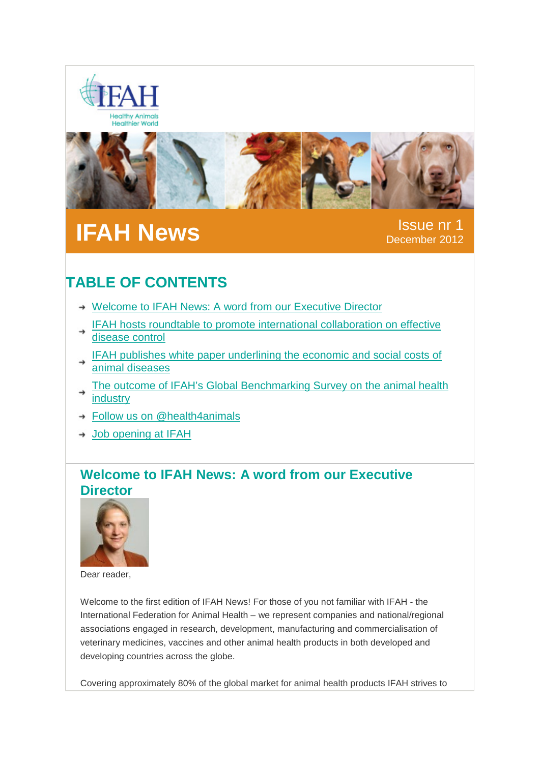



# **IFAH News** Issue nr 1

December 2012

## **TABLE OF CONTENTS**

- → Welcome to IFAH News: A word from our [Executive](#page-0-0) Director
- IFAH hosts roundtable to promote international [collaboration](#page-1-0) on effective [disease](#page-1-0) control
- IFAH publishes white paper [underlining](#page-2-0) the economic and social costs of animal [diseases](#page-2-0)
- The outcome of IFAH's Global [Benchmarking](#page-2-1) Survey on the animal health [industry](#page-2-1)
- → Follow us on [@health4animals](#page-3-0)
- → Job [opening](#page-3-1) at IFAH

### <span id="page-0-0"></span>**Welcome to IFAH News: A word from our Executive Director**



Dear reader,

Welcome to the first edition of IFAH News! For those of you not familiar with IFAH - the International Federation for Animal Health – we represent companies and national/regional associations engaged in research, development, manufacturing and commercialisation of veterinary medicines, vaccines and other animal health products in both developed and developing countries across the globe.

Covering approximately 80% of the global market for animal health products IFAH strives to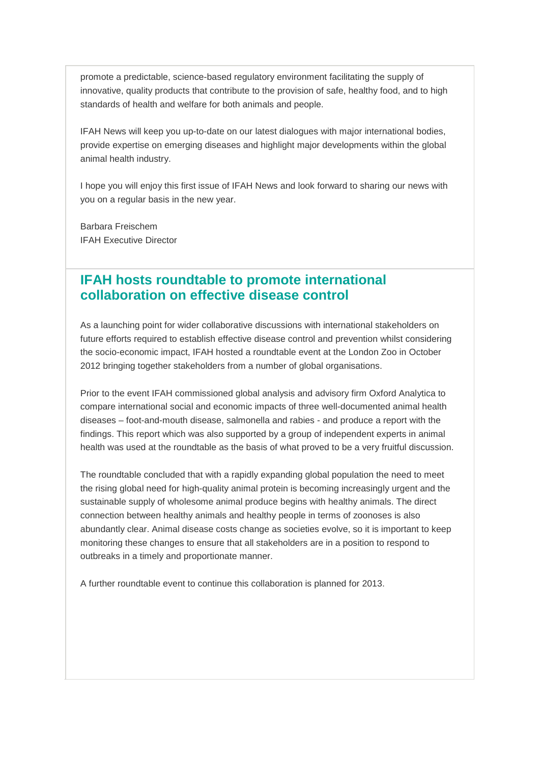promote a predictable, science-based regulatory environment facilitating the supply of innovative, quality products that contribute to the provision of safe, healthy food, and to high standards of health and welfare for both animals and people.

IFAH News will keep you up-to-date on our latest dialogues with major international bodies, provide expertise on emerging diseases and highlight major developments within the global animal health industry.

I hope you will enjoy this first issue of IFAH News and look forward to sharing our news with you on a regular basis in the new year.

Barbara Freischem IFAH Executive Director

#### <span id="page-1-0"></span>**IFAH hosts roundtable to promote international collaboration on effective disease control**

As a launching point for wider collaborative discussions with international stakeholders on future efforts required to establish effective disease control and prevention whilst considering the socio-economic impact, IFAH hosted a roundtable event at the London Zoo in October 2012 bringing together stakeholders from a number of global organisations.

Prior to the event IFAH commissioned global analysis and advisory firm Oxford Analytica to compare international social and economic impacts of three well-documented animal health diseases – foot-and-mouth disease, salmonella and rabies - and produce a report with the findings. This report which was also supported by a group of independent experts in animal health was used at the roundtable as the basis of what proved to be a very fruitful discussion.

The roundtable concluded that with a rapidly expanding global population the need to meet the rising global need for high-quality animal protein is becoming increasingly urgent and the sustainable supply of wholesome animal produce begins with healthy animals. The direct connection between healthy animals and healthy people in terms of zoonoses is also abundantly clear. Animal disease costs change as societies evolve, so it is important to keep monitoring these changes to ensure that all stakeholders are in a position to respond to outbreaks in a timely and proportionate manner.

A further roundtable event to continue this collaboration is planned for 2013.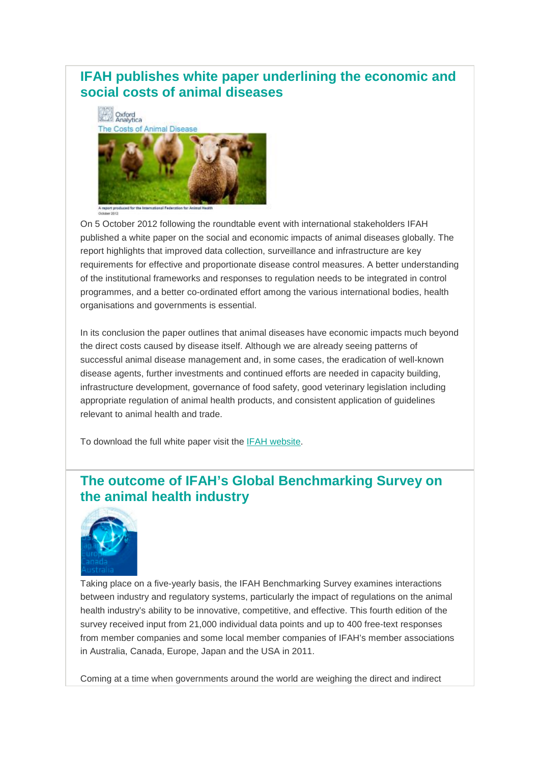## <span id="page-2-0"></span>**IFAH publishes white paper underlining the economic and social costs of animal diseases**



On 5 October 2012 following the roundtable event with international stakeholders IFAH published a white paper on the social and economic impacts of animal diseases globally. The report highlights that improved data collection, surveillance and infrastructure are key requirements for effective and proportionate disease control measures. A better understanding of the institutional frameworks and responses to regulation needs to be integrated in control programmes, and a better co-ordinated effort among the various international bodies, health organisations and governments is essential.

In its conclusion the paper outlines that animal diseases have economic impacts much beyond the direct costs caused by disease itself. Although we are already seeing patterns of successful animal disease management and, in some cases, the eradication of well-known disease agents, further investments and continued efforts are needed in capacity building, infrastructure development, governance of food safety, good veterinary legislation including appropriate regulation of animal health products, and consistent application of guidelines relevant to animal health and trade.

To download the full white paper visit the [IFAH website.](http://www.ifahsec.org/white-paper-the-costs-of-animal-disease/)

## <span id="page-2-1"></span>**The outcome of IFAH's Global Benchmarking Survey on the animal health industry**



Taking place on a five-yearly basis, the IFAH Benchmarking Survey examines interactions between industry and regulatory systems, particularly the impact of regulations on the animal health industry's ability to be innovative, competitive, and effective. This fourth edition of the survey received input from 21,000 individual data points and up to 400 free-text responses from member companies and some local member companies of IFAH's member associations in Australia, Canada, Europe, Japan and the USA in 2011.

Coming at a time when governments around the world are weighing the direct and indirect